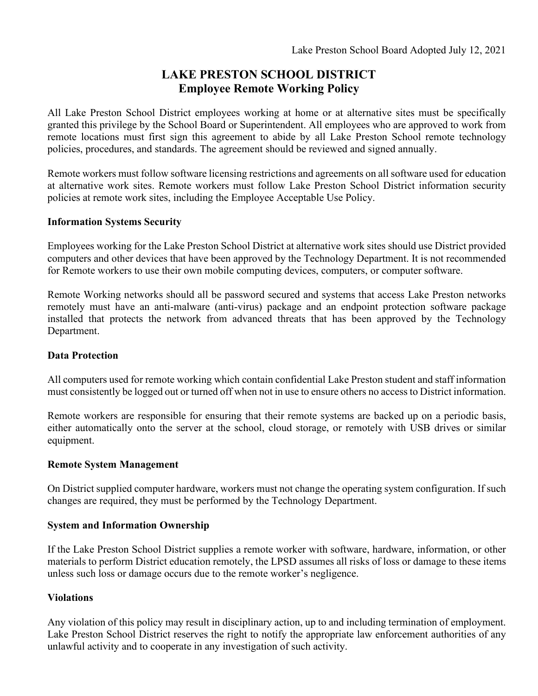## **LAKE PRESTON SCHOOL DISTRICT Employee Remote Working Policy**

All Lake Preston School District employees working at home or at alternative sites must be specifically granted this privilege by the School Board or Superintendent. All employees who are approved to work from remote locations must first sign this agreement to abide by all Lake Preston School remote technology policies, procedures, and standards. The agreement should be reviewed and signed annually.

Remote workers must follow software licensing restrictions and agreements on all software used for education at alternative work sites. Remote workers must follow Lake Preston School District information security policies at remote work sites, including the Employee Acceptable Use Policy.

### **Information Systems Security**

Employees working for the Lake Preston School District at alternative work sites should use District provided computers and other devices that have been approved by the Technology Department. It is not recommended for Remote workers to use their own mobile computing devices, computers, or computer software.

Remote Working networks should all be password secured and systems that access Lake Preston networks remotely must have an anti-malware (anti-virus) package and an endpoint protection software package installed that protects the network from advanced threats that has been approved by the Technology Department.

#### **Data Protection**

All computers used for remote working which contain confidential Lake Preston student and staff information must consistently be logged out or turned off when not in use to ensure others no access to District information.

Remote workers are responsible for ensuring that their remote systems are backed up on a periodic basis, either automatically onto the server at the school, cloud storage, or remotely with USB drives or similar equipment.

#### **Remote System Management**

On District supplied computer hardware, workers must not change the operating system configuration. If such changes are required, they must be performed by the Technology Department.

#### **System and Information Ownership**

If the Lake Preston School District supplies a remote worker with software, hardware, information, or other materials to perform District education remotely, the LPSD assumes all risks of loss or damage to these items unless such loss or damage occurs due to the remote worker's negligence.

#### **Violations**

Any violation of this policy may result in disciplinary action, up to and including termination of employment. Lake Preston School District reserves the right to notify the appropriate law enforcement authorities of any unlawful activity and to cooperate in any investigation of such activity.